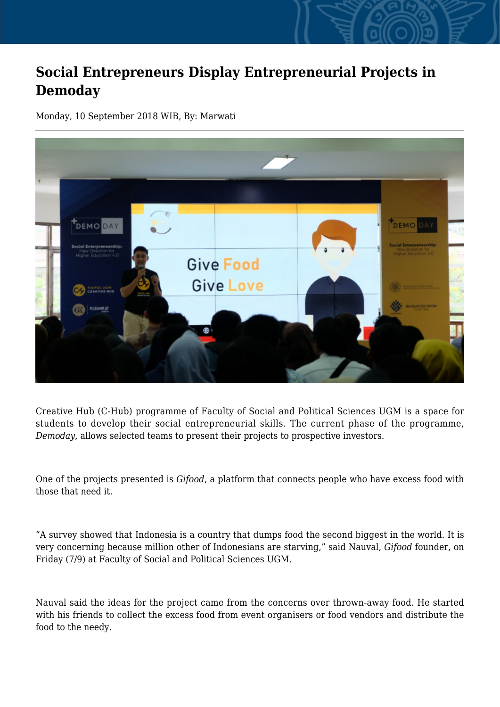## **Social Entrepreneurs Display Entrepreneurial Projects in Demoday**

Monday, 10 September 2018 WIB, By: Marwati



Creative Hub (C-Hub) programme of Faculty of Social and Political Sciences UGM is a space for students to develop their social entrepreneurial skills. The current phase of the programme, *Demoday*, allows selected teams to present their projects to prospective investors.

One of the projects presented is *Gifood*, a platform that connects people who have excess food with those that need it.

"A survey showed that Indonesia is a country that dumps food the second biggest in the world. It is very concerning because million other of Indonesians are starving," said Nauval, *Gifood* founder, on Friday (7/9) at Faculty of Social and Political Sciences UGM.

Nauval said the ideas for the project came from the concerns over thrown-away food. He started with his friends to collect the excess food from event organisers or food vendors and distribute the food to the needy.